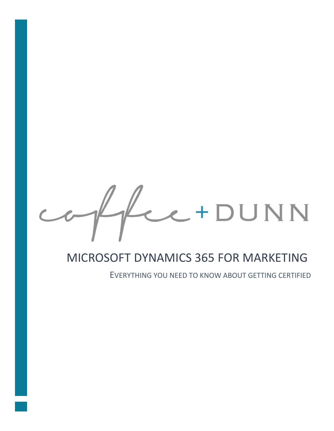Le+DUNN

## MICROSOFT DYNAMICS 365 FOR MARKETING

EVERYTHING YOU NEED TO KNOW ABOUT GETTING CERTIFIED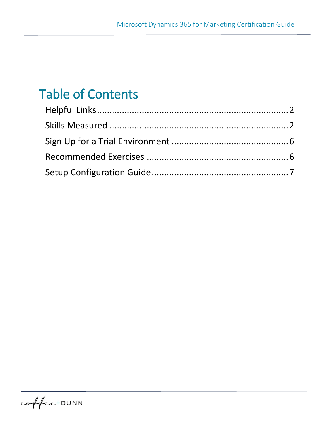# Table of Contents

֖֖֖֖֖֖֚֚֚֚֚֚֚֚֚֚֚֬֝֝֓֡֬֝֬֝֬֝֬֝֓֬֝֓֬֝֓֬֝֓֬֝֓֬֝֓֬֝֓֬֝֓֬֝֓֬֝֓֬

<span id="page-1-0"></span>coffee+DUNN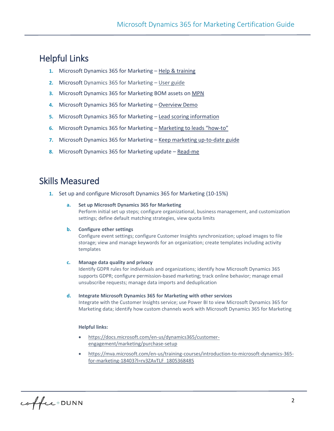### Helpful Links

֖֖֖֖֖֖֚֚֚֚֚֚֚֚֚֚֚֬֝֝֓֡֬֝֬֝֬֝֬֝֓֬֝֓֬֝֓֬֝֓֬֝֓֬֝֓֬֝֓֬֝֓֬֝֓֬֝֓֬

- **1.** Microsoft Dynamics 365 for Marketing [Help & training](https://docs.microsoft.com/en-us/dynamics365/customer-engagement/marketing/help-hub)
- **2.** Microsoft Dynamics 365 for Marketing [User guide](https://docs.microsoft.com/en-us/dynamics365/customer-engagement/marketing/user-guide)
- **3.** Microsoft Dynamics 365 for Marketing BOM assets on [MPN](file:///C:/Dropbox%20(Spur)/Documents/MS%20D365%20for%20Marketing%20Pilot%20Program/Partner%20Newsletter/.%20%20https:/partner.microsoft.com/en-us/asset/collection/microsoft-dynamics-365-for-marketing%23/)
- **4.** Microsoft Dynamics 365 for Marketing [Overview Demo](https://coffee-dunn.com/resources-dynamics365formarketing/)
- **5.** Microsoft Dynamics 365 for Marketing [Lead scoring information](https://docs.microsoft.com/en-ca/dynamics365/customer-engagement/marketing/score-manage-leads)
- **6.** Microsoft Dynamics 365 for Marketing [Marketing to leads "how](https://docs.microsoft.com/en-us/dynamics365/customer-engagement/marketing/market-to-leads)-to"
- **7.** Microsoft Dynamics 365 for Marketing [Keep marketing up-to-date guide](https://docs.microsoft.com/en-us/dynamics365/customer-engagement/marketing/apply-updates)
- <span id="page-2-0"></span>**8.** Microsoft Dynamics 365 for Marketing update – [Read-me](https://docs.microsoft.com/en-us/dynamics365/customer-engagement/marketing/readme-preview)

### Skills Measured

**1.** Set up and configure Microsoft Dynamics 365 for Marketing (10-15%)

#### **a. Set up Microsoft Dynamics 365 for Marketing**

Perform initial set up steps; configure organizational, business management, and customization settings; define default matching strategies, view quota limits

#### **b. Configure other settings**

Configure event settings; configure Customer Insights synchronization; upload images to file storage; view and manage keywords for an organization; create templates including activity templates

#### **c. Manage data quality and privacy**

Identify GDPR rules for individuals and organizations; identify how Microsoft Dynamics 365 supports GDPR; configure permission-based marketing; track online behavior; manage email unsubscribe requests; manage data imports and deduplication

**d. Integrate Microsoft Dynamics 365 for Marketing with other services** 

Integrate with the Customer Insights service; use Power BI to view Microsoft Dynamics 365 for Marketing data; identify how custom channels work with Microsoft Dynamics 365 for Marketing

#### **Helpful links:**

- [https://docs.microsoft.com/en-us/dynamics365/customer](https://docs.microsoft.com/en-us/dynamics365/customer-engagement/marketing/purchase-setup)[engagement/marketing/purchase-setup](https://docs.microsoft.com/en-us/dynamics365/customer-engagement/marketing/purchase-setup)
- [https://mva.microsoft.com/en-us/training-courses/introduction-to-microsoft-dynamics-365](https://mva.microsoft.com/en-us/training-courses/introduction-to-microsoft-dynamics-365-for-marketing-18403?l=rv3ZAvTLF_1805368485) [for-marketing-18403?l=rv3ZAvTLF\\_1805368485](https://mva.microsoft.com/en-us/training-courses/introduction-to-microsoft-dynamics-365-for-marketing-18403?l=rv3ZAvTLF_1805368485)

coffee+DUNN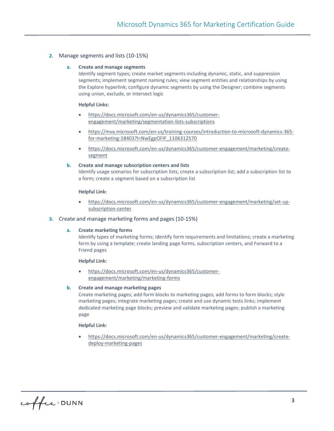#### **2.** Manage segments and lists (10-15%)

֖֖֖֖֖֖֚֚֚֚֚֚֚֚֚֚֚֬֝֝֓֡֬֝֬֝֬֝֬֝֓֬֝֓֬֝֓֬֝֓֬֝֓֬֝֓֬֝֓֬֝֓֬֝֓֬֝֓֬

#### **a. Create and manage segments**

Identify segment types; create market segments including dynamic, static, and suppression segments; implement segment naming rules; view segment entities and relationships by using the Explore hyperlink; configure dynamic segments by using the Designer; combine segments using union, exclude, or intersect logic

#### **Helpful Links:**

- [https://docs.microsoft.com/en-us/dynamics365/customer](https://docs.microsoft.com/en-us/dynamics365/customer-engagement/marketing/segmentation-lists-subscriptions)[engagement/marketing/segmentation-lists-subscriptions](https://docs.microsoft.com/en-us/dynamics365/customer-engagement/marketing/segmentation-lists-subscriptions)
- [https://mva.microsoft.com/en-us/training-courses/introduction-to-microsoft-dynamics-365](https://mva.microsoft.com/en-us/training-courses/introduction-to-microsoft-dynamics-365-for-marketing-18403?l=NwEgpOFIF_1106312570) [for-marketing-18403?l=NwEgpOFIF\\_1106312570](https://mva.microsoft.com/en-us/training-courses/introduction-to-microsoft-dynamics-365-for-marketing-18403?l=NwEgpOFIF_1106312570)
- [https://docs.microsoft.com/en-us/dynamics365/customer-engagement/marketing/create](https://docs.microsoft.com/en-us/dynamics365/customer-engagement/marketing/create-segment)[segment](https://docs.microsoft.com/en-us/dynamics365/customer-engagement/marketing/create-segment)

#### **b. Create and manage subscription centers and lists**  Identify usage scenarios for subscription lists; create a subscription list; add a subscription list to a form; create a segment based on a subscription list

#### **Helpful Link:**

• [https://docs.microsoft.com/en-us/dynamics365/customer-engagement/marketing/set-up](https://docs.microsoft.com/en-us/dynamics365/customer-engagement/marketing/set-up-subscription-center)[subscription-center](https://docs.microsoft.com/en-us/dynamics365/customer-engagement/marketing/set-up-subscription-center)

#### **3.** Create and manage marketing forms and pages (10-15%)

#### **a. Create marketing forms**

Identify types of marketing forms; identify form requirements and limitations; create a marketing form by using a template; create landing page forms, subscription centers, and Forward to a Friend pages

#### **Helpful Link:**

• [https://docs.microsoft.com/en-us/dynamics365/customer](https://docs.microsoft.com/en-us/dynamics365/customer-engagement/marketing/marketing-forms)[engagement/marketing/marketing-forms](https://docs.microsoft.com/en-us/dynamics365/customer-engagement/marketing/marketing-forms)

#### **b. Create and manage marketing pages**

Create marketing pages; add form blocks to marketing pages; add forms to form blocks; style marketing pages; integrate marketing pages; create and use dynamic tests links; implement dedicated marketing page blocks; preview and validate marketing pages; publish a marketing page

#### **Helpful Link:**

• [https://docs.microsoft.com/en-us/dynamics365/customer-engagement/marketing/create](https://docs.microsoft.com/en-us/dynamics365/customer-engagement/marketing/create-deploy-marketing-pages)[deploy-marketing-pages](https://docs.microsoft.com/en-us/dynamics365/customer-engagement/marketing/create-deploy-marketing-pages)

coffee+DUNN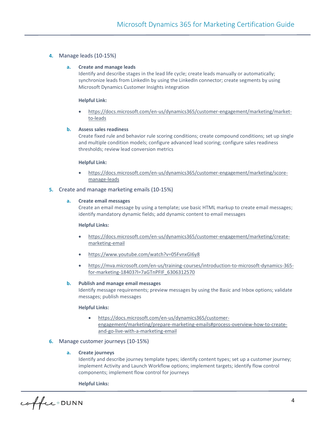#### **4.** Manage leads (10-15%)

֖֖֖֖֖֖֚֚֚֚֚֚֚֚֚֚֚֬֝֝֓֡֬֝֬֝֬֝֬֝֓֬֝֓֬֝֓֬֝֓֬֝֓֬֝֓֬֝֓֬֝֓֬֝֓֬֝֓֬

#### **a. Create and manage leads**

Identify and describe stages in the lead life cycle; create leads manually or automatically; synchronize leads from LinkedIn by using the LinkedIn connector; create segments by using Microsoft Dynamics Customer Insights integration

#### **Helpful Link:**

• [https://docs.microsoft.com/en-us/dynamics365/customer-engagement/marketing/market](https://docs.microsoft.com/en-us/dynamics365/customer-engagement/marketing/market-to-leads)[to-leads](https://docs.microsoft.com/en-us/dynamics365/customer-engagement/marketing/market-to-leads)

#### **b. Assess sales readiness**

Create fixed rule and behavior rule scoring conditions; create compound conditions; set up single and multiple condition models; configure advanced lead scoring; configure sales readiness thresholds; review lead conversion metrics

#### **Helpful Link:**

• [https://docs.microsoft.com/en-us/dynamics365/customer-engagement/marketing/score](https://docs.microsoft.com/en-us/dynamics365/customer-engagement/marketing/score-manage-leads)[manage-leads](https://docs.microsoft.com/en-us/dynamics365/customer-engagement/marketing/score-manage-leads)

#### **5.** Create and manage marketing emails (10-15%)

#### **a. Create email messages**

Create an email message by using a template; use basic HTML markup to create email messages; identify mandatory dynamic fields; add dynamic content to email messages

#### **Helpful Links:**

- [https://docs.microsoft.com/en-us/dynamics365/customer-engagement/marketing/create](https://docs.microsoft.com/en-us/dynamics365/customer-engagement/marketing/create-marketing-email)[marketing-email](https://docs.microsoft.com/en-us/dynamics365/customer-engagement/marketing/create-marketing-email)
- <https://www.youtube.com/watch?v=05FvnxGI6y8>
- [https://mva.microsoft.com/en-us/training-courses/introduction-to-microsoft-dynamics-365](https://mva.microsoft.com/en-us/training-courses/introduction-to-microsoft-dynamics-365-for-marketing-18403?l=7aGTnPFIF_6306312570) [for-marketing-18403?l=7aGTnPFIF\\_6306312570](https://mva.microsoft.com/en-us/training-courses/introduction-to-microsoft-dynamics-365-for-marketing-18403?l=7aGTnPFIF_6306312570)

#### **b. Publish and manage email messages**

Identify message requirements; preview messages by using the Basic and Inbox options; validate messages; publish messages

#### **Helpful Links:**

• [https://docs.microsoft.com/en-us/dynamics365/customer](https://docs.microsoft.com/en-us/dynamics365/customer-engagement/marketing/prepare-marketing-emails#process-overview-how-to-create-and-go-live-with-a-marketing-email)[engagement/marketing/prepare-marketing-emails#process-overview-how-to-create](https://docs.microsoft.com/en-us/dynamics365/customer-engagement/marketing/prepare-marketing-emails#process-overview-how-to-create-and-go-live-with-a-marketing-email)[and-go-live-with-a-marketing-email](https://docs.microsoft.com/en-us/dynamics365/customer-engagement/marketing/prepare-marketing-emails#process-overview-how-to-create-and-go-live-with-a-marketing-email)

#### **6.** Manage customer journeys (10-15%)

#### **a. Create journeys**

Identify and describe journey template types; identify content types; set up a customer journey; implement Activity and Launch Workflow options; implement targets; identify flow control components; implement flow control for journeys

#### **Helpful Links:**

coffee+DUNN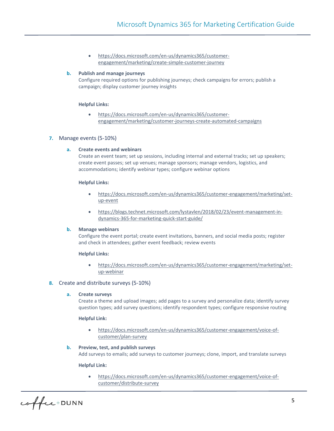• [https://docs.microsoft.com/en-us/dynamics365/customer](https://docs.microsoft.com/en-us/dynamics365/customer-engagement/marketing/create-simple-customer-journey)[engagement/marketing/create-simple-customer-journey](https://docs.microsoft.com/en-us/dynamics365/customer-engagement/marketing/create-simple-customer-journey)

#### **b. Publish and manage journeys**

Configure required options for publishing journeys; check campaigns for errors; publish a campaign; display customer journey insights

#### **Helpful Links:**

• [https://docs.microsoft.com/en-us/dynamics365/customer](https://docs.microsoft.com/en-us/dynamics365/customer-engagement/marketing/customer-journeys-create-automated-campaigns)[engagement/marketing/customer-journeys-create-automated-campaigns](https://docs.microsoft.com/en-us/dynamics365/customer-engagement/marketing/customer-journeys-create-automated-campaigns)

#### **7.** Manage events (5-10%)

֖֖֖֖֖֖֚֚֚֚֚֚֚֚֚֚֚֬֝֝֓֡֬֝֬֝֬֝֬֝֓֬֝֓֬֝֓֬֝֓֬֝֓֬֝֓֬֝֓֬֝֓֬֝֓֬֝֓֬

#### **a. Create events and webinars**

Create an event team; set up sessions, including internal and external tracks; set up speakers; create event passes; set up venues; manage sponsors; manage vendors, logistics, and accommodations; identify webinar types; configure webinar options

#### **Helpful Links:**

- [https://docs.microsoft.com/en-us/dynamics365/customer-engagement/marketing/set](https://docs.microsoft.com/en-us/dynamics365/customer-engagement/marketing/set-up-event)[up-event](https://docs.microsoft.com/en-us/dynamics365/customer-engagement/marketing/set-up-event)
- [https://blogs.technet.microsoft.com/lystavlen/2018/02/23/event-management-in](https://blogs.technet.microsoft.com/lystavlen/2018/02/23/event-management-in-dynamics-365-for-marketing-quick-start-guide/)[dynamics-365-for-marketing-quick-start-guide/](https://blogs.technet.microsoft.com/lystavlen/2018/02/23/event-management-in-dynamics-365-for-marketing-quick-start-guide/)

#### **b. Manage webinars**

Configure the event portal; create event invitations, banners, and social media posts; register and check in attendees; gather event feedback; review events

#### **Helpful Links:**

• [https://docs.microsoft.com/en-us/dynamics365/customer-engagement/marketing/set](https://docs.microsoft.com/en-us/dynamics365/customer-engagement/marketing/set-up-webinar)[up-webinar](https://docs.microsoft.com/en-us/dynamics365/customer-engagement/marketing/set-up-webinar)

#### **8.** Create and distribute surveys (5-10%)

#### **a. Create surveys**

Create a theme and upload images; add pages to a survey and personalize data; identify survey question types; add survey questions; identify respondent types; configure responsive routing

#### **Helpful Link:**

• [https://docs.microsoft.com/en-us/dynamics365/customer-engagement/voice-of](https://docs.microsoft.com/en-us/dynamics365/customer-engagement/voice-of-customer/plan-survey)[customer/plan-survey](https://docs.microsoft.com/en-us/dynamics365/customer-engagement/voice-of-customer/plan-survey)

#### **b. Preview, test, and publish surveys**

Add surveys to emails; add surveys to customer journeys; clone, import, and translate surveys

#### **Helpful Link:**

• [https://docs.microsoft.com/en-us/dynamics365/customer-engagement/voice-of](https://docs.microsoft.com/en-us/dynamics365/customer-engagement/voice-of-customer/distribute-survey)[customer/distribute-survey](https://docs.microsoft.com/en-us/dynamics365/customer-engagement/voice-of-customer/distribute-survey)

coffee+DUNN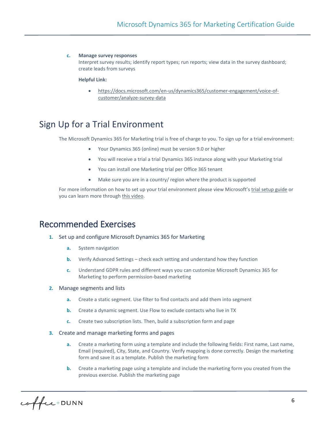#### **c. Manage survey responses**

Interpret survey results; identify report types; run reports; view data in the survey dashboard; create leads from surveys

#### **Helpful Link:**

֖֖֖֖֖֖֚֚֚֚֚֚֚֚֚֚֚֬֝֝֓֡֬֝֬֝֬֝֬֝֓֬֝֓֬֝֓֬֝֓֬֝֓֬֝֓֬֝֓֬֝֓֬֝֓֬֝֓֬

• [https://docs.microsoft.com/en-us/dynamics365/customer-engagement/voice-of](https://docs.microsoft.com/en-us/dynamics365/customer-engagement/voice-of-customer/analyze-survey-data)[customer/analyze-survey-data](https://docs.microsoft.com/en-us/dynamics365/customer-engagement/voice-of-customer/analyze-survey-data)

### <span id="page-6-0"></span>Sign Up for a Trial Environment

The Microsoft Dynamics 365 for Marketing trial is free of charge to you. To sign up for a trial environment:

- Your Dynamics 365 (online) must be version 9.0 or higher
- You will receive a trial a trial Dynamics 365 instance along with your Marketing trial
- You can install one Marketing trial per Office 365 tenant
- Make sure you are in a country/ region where the product is supported

For more information on how to set up your trial environment please view Microsoft's [trial setup guide](https://coffee-dunn.com/wp-content/uploads/2018/12/Microsoft-Dynamics-365-for-Marketing-Trial-Set-Up-Guide.pdf) or you can learn more throug[h this video.](https://www.youtube.com/watch?v=TrosVYVTsS8&list=PLcakwueIHoT_cV1n1es1YJt_T2A5u-XpR&index=1)

### <span id="page-6-1"></span>Recommended Exercises

- **1.** Set up and configure Microsoft Dynamics 365 for Marketing
	- **a.** System navigation
	- **b.** Verify Advanced Settings check each setting and understand how they function
	- **c.** Understand GDPR rules and different ways you can customize Microsoft Dynamics 365 for Marketing to perform permission-based marketing

#### **2.** Manage segments and lists

- **a.** Create a static segment. Use filter to find contacts and add them into segment
- **b.** Create a dynamic segment. Use Flow to exclude contacts who live in TX
- **c.** Create two subscription lists. Then, build a subscription form and page
- **3.** Create and manage marketing forms and pages
	- **a.** Create a marketing form using a template and include the following fields: First name, Last name, Email (required), City, State, and Country. Verify mapping is done correctly. Design the marketing form and save it as a template. Publish the marketing form
	- **b.** Create a marketing page using a template and include the marketing form you created from the previous exercise. Publish the marketing page

coffee+DUNN